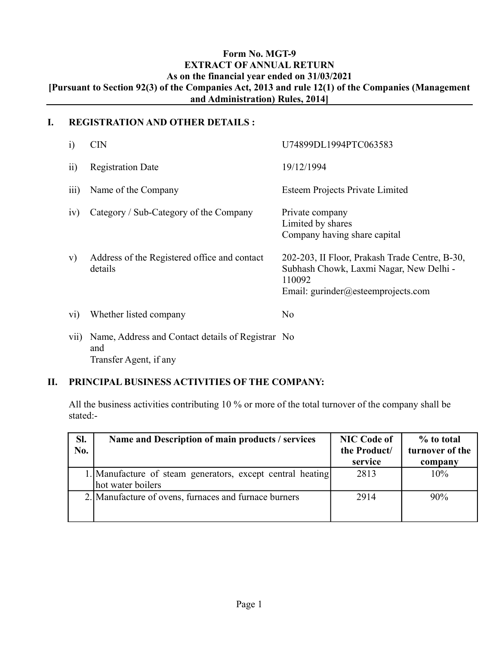#### Form No. MGT-9 EXTRACT OF ANNUAL RETURN As on the financial year ended on 31/03/2021 [Pursuant to Section 92(3) of the Companies Act, 2013 and rule 12(1) of the Companies (Management and Administration) Rules, 2014]

## I. REGISTRATION AND OTHER DETAILS :

| $\mathbf{i}$    | CIN                                                      | U74899DL1994PTC063583                                                                                                                        |
|-----------------|----------------------------------------------------------|----------------------------------------------------------------------------------------------------------------------------------------------|
| $\overline{11}$ | <b>Registration Date</b>                                 | 19/12/1994                                                                                                                                   |
| 111)            | Name of the Company                                      | Esteem Projects Private Limited                                                                                                              |
| 1V)             | Category / Sub-Category of the Company                   | Private company<br>Limited by shares<br>Company having share capital                                                                         |
| V)              | Address of the Registered office and contact<br>details  | 202-203, II Floor, Prakash Trade Centre, B-30,<br>Subhash Chowk, Laxmi Nagar, New Delhi -<br>110092<br>Email: $gurinder@$ esteemprojects.com |
| $V_1$           | Whether listed company                                   | No                                                                                                                                           |
| V11)            | Name, Address and Contact details of Registrar No<br>and |                                                                                                                                              |

Transfer Agent, if any

## II. PRINCIPAL BUSINESS ACTIVITIES OF THE COMPANY:

All the business activities contributing 10 % or more of the total turnover of the company shall be stated:-

| SI.<br>No. | Name and Description of main products / services                                | <b>NIC Code of</b><br>the Product/ | % to total<br>turnover of the |
|------------|---------------------------------------------------------------------------------|------------------------------------|-------------------------------|
|            |                                                                                 | service                            | company                       |
|            | 1. Manufacture of steam generators, except central heating<br>hot water boilers | 2813                               | 10%                           |
|            | 2. Manufacture of ovens, furnaces and furnace burners                           | 2914                               | 90%                           |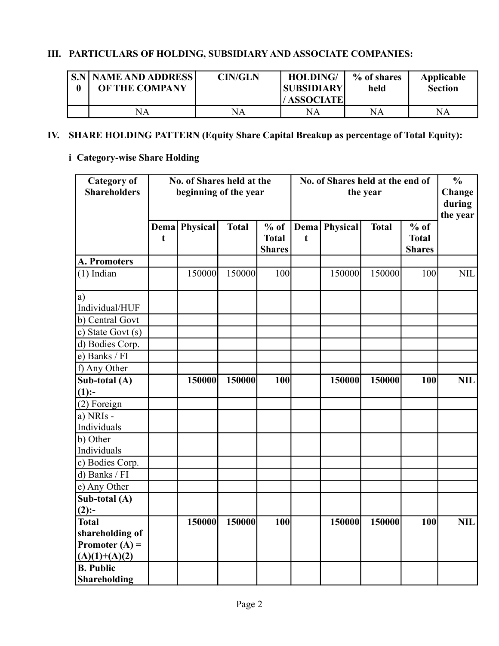## III. PARTICULARS OF HOLDING, SUBSIDIARY AND ASSOCIATE COMPANIES:

| <b>S.N   NAME AND ADDRESS  </b><br><b>OF THE COMPANY</b> | <b>CIN/GLN</b> | <b>HOLDING/</b><br> SUBSIDIARY <br>'/ASSOCIATE | % of shares<br>held | Applicable<br><b>Section</b> |
|----------------------------------------------------------|----------------|------------------------------------------------|---------------------|------------------------------|
| NA                                                       | NA             | NA                                             | NA                  | NA                           |

## IV. SHARE HOLDING PATTERN (Equity Share Capital Breakup as percentage of Total Equity):

## i Category-wise Share Holding

| <b>Category of</b><br><b>Shareholders</b> |             | No. of Shares held at the<br>beginning of the year |              |                                         |             | No. of Shares held at the end of | the year     |                                         | $\frac{0}{0}$<br>Change |
|-------------------------------------------|-------------|----------------------------------------------------|--------------|-----------------------------------------|-------------|----------------------------------|--------------|-----------------------------------------|-------------------------|
|                                           |             |                                                    |              |                                         |             |                                  |              |                                         | during                  |
|                                           | $\mathbf t$ | Dema Physical                                      | <b>Total</b> | $%$ of<br><b>Total</b><br><b>Shares</b> | $\mathbf t$ | Dema Physical                    | <b>Total</b> | $%$ of<br><b>Total</b><br><b>Shares</b> | the year                |
| <b>A. Promoters</b>                       |             |                                                    |              |                                         |             |                                  |              |                                         |                         |
| $(1)$ Indian                              |             | 150000                                             | 150000       | 100                                     |             | 150000                           | 150000       | 100                                     | <b>NIL</b>              |
| a)                                        |             |                                                    |              |                                         |             |                                  |              |                                         |                         |
| Individual/HUF                            |             |                                                    |              |                                         |             |                                  |              |                                         |                         |
| b) Central Govt                           |             |                                                    |              |                                         |             |                                  |              |                                         |                         |
| c) State Govt (s)                         |             |                                                    |              |                                         |             |                                  |              |                                         |                         |
| d) Bodies Corp.                           |             |                                                    |              |                                         |             |                                  |              |                                         |                         |
| e) Banks / FI                             |             |                                                    |              |                                         |             |                                  |              |                                         |                         |
| f) Any Other                              |             |                                                    |              |                                         |             |                                  |              |                                         |                         |
| Sub-total (A)                             |             | 150000                                             | 150000       | 100                                     |             | 150000                           | 150000       | 100                                     | <b>NIL</b>              |
| $(1)$ :-                                  |             |                                                    |              |                                         |             |                                  |              |                                         |                         |
| $(2)$ Foreign                             |             |                                                    |              |                                         |             |                                  |              |                                         |                         |
| a) NRIs -                                 |             |                                                    |              |                                         |             |                                  |              |                                         |                         |
| Individuals                               |             |                                                    |              |                                         |             |                                  |              |                                         |                         |
| $b)$ Other –                              |             |                                                    |              |                                         |             |                                  |              |                                         |                         |
| Individuals                               |             |                                                    |              |                                         |             |                                  |              |                                         |                         |
| c) Bodies Corp.                           |             |                                                    |              |                                         |             |                                  |              |                                         |                         |
| d) Banks / FI                             |             |                                                    |              |                                         |             |                                  |              |                                         |                         |
| e) Any Other                              |             |                                                    |              |                                         |             |                                  |              |                                         |                         |
| Sub-total $(A)$                           |             |                                                    |              |                                         |             |                                  |              |                                         |                         |
| $(2)$ :-                                  |             |                                                    |              |                                         |             |                                  |              |                                         |                         |
| <b>Total</b>                              |             | 150000                                             | 150000       | 100                                     |             | 150000                           | 150000       | 100                                     | <b>NIL</b>              |
| shareholding of                           |             |                                                    |              |                                         |             |                                  |              |                                         |                         |
| Promoter $(A)$ =                          |             |                                                    |              |                                         |             |                                  |              |                                         |                         |
| $(A)(1)+(A)(2)$                           |             |                                                    |              |                                         |             |                                  |              |                                         |                         |
| <b>B.</b> Public                          |             |                                                    |              |                                         |             |                                  |              |                                         |                         |
| <b>Shareholding</b>                       |             |                                                    |              |                                         |             |                                  |              |                                         |                         |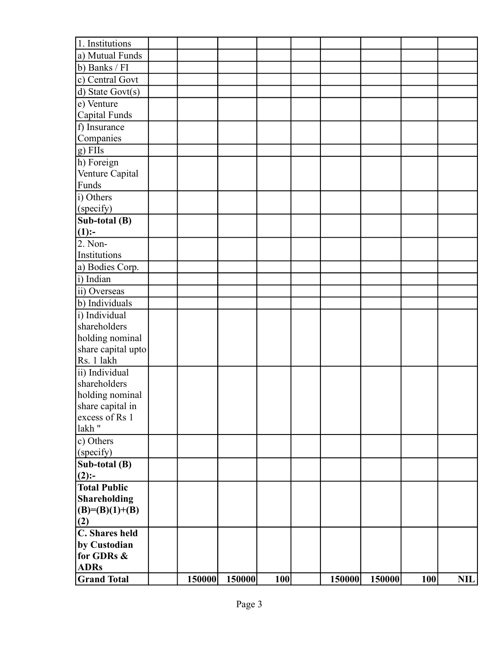| 1. Institutions     |        |        |     |        |        |     |     |
|---------------------|--------|--------|-----|--------|--------|-----|-----|
| a) Mutual Funds     |        |        |     |        |        |     |     |
| b) Banks / FI       |        |        |     |        |        |     |     |
| c) Central Govt     |        |        |     |        |        |     |     |
| d) State Govt(s)    |        |        |     |        |        |     |     |
| e) Venture          |        |        |     |        |        |     |     |
| Capital Funds       |        |        |     |        |        |     |     |
| f) Insurance        |        |        |     |        |        |     |     |
| Companies           |        |        |     |        |        |     |     |
| $g)$ FIIs           |        |        |     |        |        |     |     |
| h) Foreign          |        |        |     |        |        |     |     |
| Venture Capital     |        |        |     |        |        |     |     |
| Funds               |        |        |     |        |        |     |     |
| i) Others           |        |        |     |        |        |     |     |
| (specify)           |        |        |     |        |        |     |     |
| Sub-total $(B)$     |        |        |     |        |        |     |     |
| $(1)$ :-            |        |        |     |        |        |     |     |
| 2. Non-             |        |        |     |        |        |     |     |
| Institutions        |        |        |     |        |        |     |     |
| a) Bodies Corp.     |        |        |     |        |        |     |     |
| i) Indian           |        |        |     |        |        |     |     |
| ii) Overseas        |        |        |     |        |        |     |     |
| b) Individuals      |        |        |     |        |        |     |     |
| i) Individual       |        |        |     |        |        |     |     |
| shareholders        |        |        |     |        |        |     |     |
| holding nominal     |        |        |     |        |        |     |     |
| share capital upto  |        |        |     |        |        |     |     |
| Rs. 1 lakh          |        |        |     |        |        |     |     |
| ii) Individual      |        |        |     |        |        |     |     |
| shareholders        |        |        |     |        |        |     |     |
| holding nominal     |        |        |     |        |        |     |     |
| share capital in    |        |        |     |        |        |     |     |
| excess of Rs 1      |        |        |     |        |        |     |     |
| lakh "              |        |        |     |        |        |     |     |
| c) Others           |        |        |     |        |        |     |     |
| (specify)           |        |        |     |        |        |     |     |
| Sub-total (B)       |        |        |     |        |        |     |     |
| $(2)$ :-            |        |        |     |        |        |     |     |
| <b>Total Public</b> |        |        |     |        |        |     |     |
| <b>Shareholding</b> |        |        |     |        |        |     |     |
| $(B)=(B)(1)+(B)$    |        |        |     |        |        |     |     |
| (2)                 |        |        |     |        |        |     |     |
| C. Shares held      |        |        |     |        |        |     |     |
| by Custodian        |        |        |     |        |        |     |     |
| for GDRs &          |        |        |     |        |        |     |     |
| <b>ADRs</b>         |        |        |     |        |        |     |     |
| <b>Grand Total</b>  | 150000 | 150000 | 100 | 150000 | 150000 | 100 | NIL |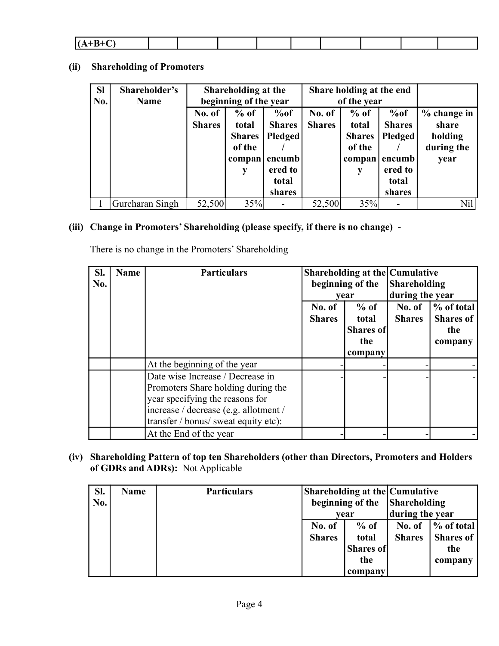| . |  |  |  |  |  |
|---|--|--|--|--|--|
| . |  |  |  |  |  |
|   |  |  |  |  |  |

#### (ii) Shareholding of Promoters

| <b>SI</b> | Shareholder's   | Shareholding at the |                       |               | Share holding at the end |               |                |             |
|-----------|-----------------|---------------------|-----------------------|---------------|--------------------------|---------------|----------------|-------------|
| No.       | <b>Name</b>     |                     | beginning of the year |               |                          | of the year   |                |             |
|           |                 | No. of              | $%$ of                | $\%$ of       | No. of                   | $%$ of        | %of            | % change in |
|           |                 | <b>Shares</b>       | total                 | <b>Shares</b> | <b>Shares</b>            | total         | <b>Shares</b>  | share       |
|           |                 |                     | <b>Shares</b>         | Pledged!      |                          | <b>Shares</b> | <b>Pledged</b> | holding     |
|           |                 |                     | of the                |               |                          | of the        |                | during the  |
|           |                 |                     | compan                | encumb        |                          | compan        | encumb         | year        |
|           |                 |                     | y                     | ered to       |                          | у             | ered to        |             |
|           |                 |                     |                       | total         |                          |               | total          |             |
|           |                 |                     |                       | shares        |                          |               | shares         |             |
|           | Gurcharan Singh | 52,500              | 35%                   |               | 52,500                   | 35%           |                | Nil         |

## (iii) Change in Promoters' Shareholding (please specify, if there is no change) -

There is no change in the Promoters' Shareholding

| SI.<br>No. | <b>Name</b> | <b>Particulars</b>                                                                                                                                                                         | Shareholding at the Cumulative<br>beginning of the<br>year<br>No. of<br>$%$ of<br><b>Shares</b><br>total<br><b>Shares of</b> |                | <b>Shareholding</b><br>during the year<br>No. of<br><b>Shares</b> | % of total<br><b>Shares</b> of<br>the |
|------------|-------------|--------------------------------------------------------------------------------------------------------------------------------------------------------------------------------------------|------------------------------------------------------------------------------------------------------------------------------|----------------|-------------------------------------------------------------------|---------------------------------------|
|            |             |                                                                                                                                                                                            |                                                                                                                              | the<br>company |                                                                   | company                               |
|            |             | At the beginning of the year                                                                                                                                                               |                                                                                                                              |                |                                                                   |                                       |
|            |             | Date wise Increase / Decrease in<br>Promoters Share holding during the<br>year specifying the reasons for<br>increase / decrease (e.g. allotment /<br>transfer / bonus/ sweat equity etc): |                                                                                                                              |                |                                                                   |                                       |
|            |             | At the End of the year                                                                                                                                                                     |                                                                                                                              |                |                                                                   |                                       |

#### (iv) Shareholding Pattern of top ten Shareholders (other than Directors, Promoters and Holders of GDRs and ADRs): Not Applicable

| SI. | <b>Name</b> | <b>Particulars</b> |               |                  | Shareholding at the Cumulative |                  |  |
|-----|-------------|--------------------|---------------|------------------|--------------------------------|------------------|--|
| No. |             |                    |               |                  | beginning of the Shareholding  |                  |  |
|     |             |                    | vear          |                  | during the year                |                  |  |
|     |             |                    | No. of        | $%$ of           | No. of                         | % of total       |  |
|     |             |                    | <b>Shares</b> | total            | <b>Shares</b>                  | <b>Shares of</b> |  |
|     |             |                    |               | <b>Shares of</b> |                                | the              |  |
|     |             |                    |               | the              |                                | company          |  |
|     |             |                    |               | company          |                                |                  |  |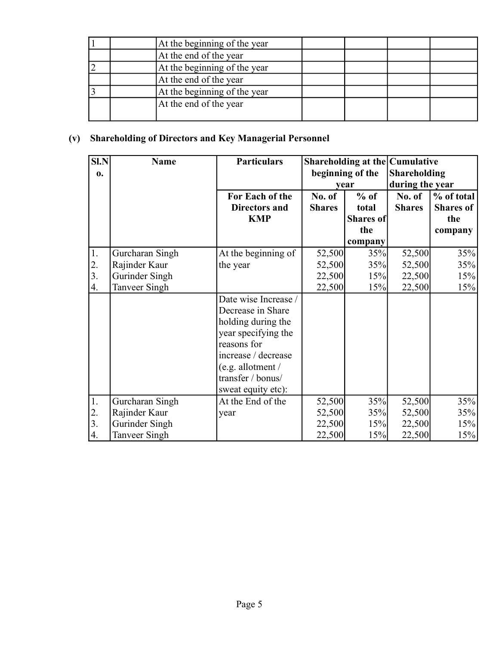| At the beginning of the year |  |
|------------------------------|--|
| At the end of the year       |  |
| At the beginning of the year |  |
| At the end of the year       |  |
| At the beginning of the year |  |
| At the end of the year       |  |
|                              |  |

## (v) Shareholding of Directors and Key Managerial Personnel

| SI.N             | <b>Name</b>     | <b>Particulars</b>   |               |                  | Shareholding at the Cumulative |                  |
|------------------|-----------------|----------------------|---------------|------------------|--------------------------------|------------------|
| $\mathbf{0}$ .   |                 |                      |               | beginning of the | <b>Shareholding</b>            |                  |
|                  |                 |                      |               | vear             | during the year                |                  |
|                  |                 | For Each of the      | No. of        | $%$ of           | No. of                         | % of total       |
|                  |                 | <b>Directors and</b> | <b>Shares</b> | total            | <b>Shares</b>                  | <b>Shares of</b> |
|                  |                 | <b>KMP</b>           |               | Shares of        |                                | the              |
|                  |                 |                      |               | the              |                                | company          |
|                  |                 |                      |               | company          |                                |                  |
| 1.               | Gurcharan Singh | At the beginning of  | 52,500        | 35%              | 52,500                         | 35%              |
| 2.               | Rajinder Kaur   | the year             | 52,500        | 35%              | 52,500                         | 35%              |
| 3.               | Gurinder Singh  |                      | 22,500        | 15%              | 22,500                         | 15%              |
| 4.               | Tanveer Singh   |                      | 22,500        | 15%              | 22,500                         | 15%              |
|                  |                 | Date wise Increase / |               |                  |                                |                  |
|                  |                 | Decrease in Share    |               |                  |                                |                  |
|                  |                 | holding during the   |               |                  |                                |                  |
|                  |                 | year specifying the  |               |                  |                                |                  |
|                  |                 | reasons for          |               |                  |                                |                  |
|                  |                 | increase / decrease  |               |                  |                                |                  |
|                  |                 | (e.g. allotment $/$  |               |                  |                                |                  |
|                  |                 | transfer / bonus/    |               |                  |                                |                  |
|                  |                 | sweat equity etc):   |               |                  |                                |                  |
| 1.               | Gurcharan Singh | At the End of the    | 52,500        | 35%              | 52,500                         | 35%              |
| 2.               | Rajinder Kaur   | year                 | 52,500        | 35%              | 52,500                         | 35%              |
| $\overline{3}$ . | Gurinder Singh  |                      | 22,500        | 15%              | 22,500                         | 15%              |
| 4.               | Tanveer Singh   |                      | 22,500        | 15%              | 22,500                         | 15%              |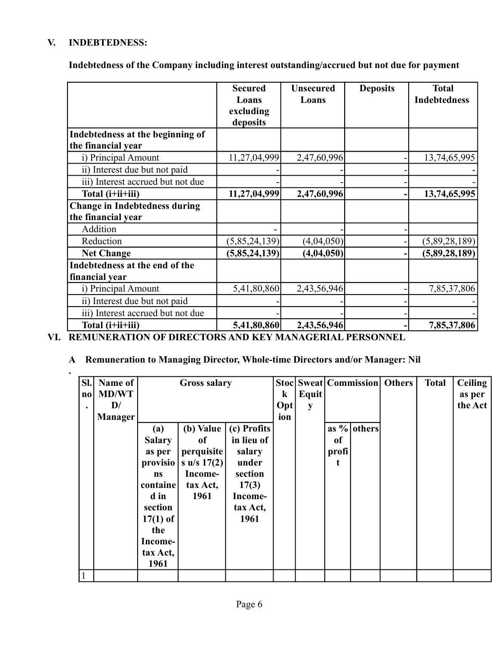## V. INDEBTEDNESS:

.

|                                      | <b>Secured</b><br>Loans<br>excluding<br>deposits | <b>Unsecured</b><br>Loans | <b>Deposits</b> | <b>Total</b><br><b>Indebtedness</b> |
|--------------------------------------|--------------------------------------------------|---------------------------|-----------------|-------------------------------------|
| Indebtedness at the beginning of     |                                                  |                           |                 |                                     |
| the financial year                   |                                                  |                           |                 |                                     |
| i) Principal Amount                  | 11,27,04,999                                     | 2,47,60,996               |                 | 13,74,65,995                        |
| ii) Interest due but not paid        |                                                  |                           |                 |                                     |
| iii) Interest accrued but not due    |                                                  |                           |                 |                                     |
| Total (i+ii+iii)                     | 11,27,04,999                                     | 2,47,60,996               |                 | 13,74,65,995                        |
| <b>Change in Indebtedness during</b> |                                                  |                           |                 |                                     |
| the financial year                   |                                                  |                           |                 |                                     |
| Addition                             |                                                  |                           |                 |                                     |
| Reduction                            | (5,85,24,139)                                    | (4,04,050)                |                 | (5,89,28,189)                       |
| <b>Net Change</b>                    | (5,85,24,139)                                    | (4,04,050)                |                 | (5,89,28,189)                       |
| Indebtedness at the end of the       |                                                  |                           |                 |                                     |
| financial year                       |                                                  |                           |                 |                                     |
| i) Principal Amount                  | 5,41,80,860                                      | 2,43,56,946               |                 | 7,85,37,806                         |
| ii) Interest due but not paid        |                                                  |                           |                 |                                     |
| iii) Interest accrued but not due    |                                                  |                           |                 |                                     |
| Total (i+ii+iii)                     | 5,41,80,860                                      | 2,43,56,946               |                 | 7,85,37,806                         |

Indebtedness of the Company including interest outstanding/accrued but not due for payment

## VI. REMUNERATION OF DIRECTORS AND KEY MANAGERIAL PERSONNEL

## A Remuneration to Managing Director, Whole-time Directors and/or Manager: Nil

| SI.       | Name of        |               | <b>Gross salary</b> |             |         |       |       |             | Stoc Sweat   Commission   Others | <b>Total</b> | <b>Ceiling</b> |
|-----------|----------------|---------------|---------------------|-------------|---------|-------|-------|-------------|----------------------------------|--------------|----------------|
| $\bf{no}$ | <b>MD/WT</b>   |               |                     |             | $\bf k$ | Equit |       |             |                                  |              | as per         |
| $\bullet$ | $\mathbf{D}/$  |               |                     |             | Opt     | y     |       |             |                                  |              | the Act        |
|           | <b>Manager</b> |               |                     |             | ion     |       |       |             |                                  |              |                |
|           |                | (a)           | (b) Value           | (c) Profits |         |       |       | as % others |                                  |              |                |
|           |                | <b>Salary</b> | of                  | in lieu of  |         |       | of    |             |                                  |              |                |
|           |                | as per        | perquisite          | salary      |         |       | profi |             |                                  |              |                |
|           |                | provisio      | s u/s $17(2)$       | under       |         |       | t     |             |                                  |              |                |
|           |                | <b>ns</b>     | Income-             | section     |         |       |       |             |                                  |              |                |
|           |                | containe      | tax Act,            | 17(3)       |         |       |       |             |                                  |              |                |
|           |                | d in          | 1961                | Income-     |         |       |       |             |                                  |              |                |
|           |                | section       |                     | tax Act,    |         |       |       |             |                                  |              |                |
|           |                | $17(1)$ of    |                     | 1961        |         |       |       |             |                                  |              |                |
|           |                | the           |                     |             |         |       |       |             |                                  |              |                |
|           |                | Income-       |                     |             |         |       |       |             |                                  |              |                |
|           |                | tax Act,      |                     |             |         |       |       |             |                                  |              |                |
|           |                | 1961          |                     |             |         |       |       |             |                                  |              |                |
|           |                |               |                     |             |         |       |       |             |                                  |              |                |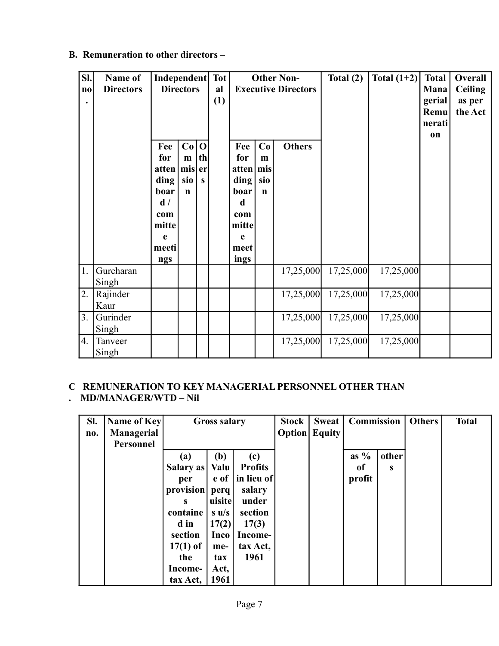#### B. Remuneration to other directors –

| SI.<br>$\bf{no}$ | Name of<br><b>Directors</b> | Independent Tot<br>Fee<br>for<br>atten<br>ding<br>boar<br>d/<br>com<br>mitte<br>e<br>meeti<br>ngs | <b>Directors</b><br>Co <sub>1</sub><br>m<br>miser<br>sio<br>$\mathbf n$ | $\bf{0}$<br>th<br>S | al<br>(1) | Fee<br>for<br>atten<br>ding<br>boar<br>d<br>com<br>mitte<br>e<br>meet<br>ings | Co<br>m<br>mis<br>sio<br>$\mathbf n$ | <b>Other Non-</b><br><b>Executive Directors</b><br><b>Others</b> | Total $(2)$ | Total $(1+2)$ | <b>Total</b><br>Mana<br>gerial<br>Remu<br>nerati<br>on | Overall<br>Ceiling<br>as per<br>the Act |
|------------------|-----------------------------|---------------------------------------------------------------------------------------------------|-------------------------------------------------------------------------|---------------------|-----------|-------------------------------------------------------------------------------|--------------------------------------|------------------------------------------------------------------|-------------|---------------|--------------------------------------------------------|-----------------------------------------|
| 1.               | Gurcharan<br>Singh          |                                                                                                   |                                                                         |                     |           |                                                                               |                                      | 17,25,000                                                        | 17,25,000   | 17,25,000     |                                                        |                                         |
| 2.               | Rajinder<br>Kaur            |                                                                                                   |                                                                         |                     |           |                                                                               |                                      | 17,25,000                                                        | 17,25,000   | 17,25,000     |                                                        |                                         |
| 3.               | Gurinder<br>Singh           |                                                                                                   |                                                                         |                     |           |                                                                               |                                      | 17,25,000                                                        | 17,25,000   | 17,25,000     |                                                        |                                         |
| $\overline{4}$ . | Tanveer<br>Singh            |                                                                                                   |                                                                         |                     |           |                                                                               |                                      | 17,25,000                                                        | 17,25,000   | 17,25,000     |                                                        |                                         |

#### C REMUNERATION TO KEY MANAGERIAL PERSONNEL OTHER THAN . MD/MANAGER/WTD – Nil

| SI. | Name of Key       | <b>Gross salary</b> |                  |                | <b>Stock</b> | <b>Sweat</b>         | Commission |       | <b>Others</b> | <b>Total</b> |
|-----|-------------------|---------------------|------------------|----------------|--------------|----------------------|------------|-------|---------------|--------------|
| no. | <b>Managerial</b> |                     |                  |                |              | <b>Option</b> Equity |            |       |               |              |
|     | Personnel         |                     |                  |                |              |                      |            |       |               |              |
|     |                   | (a)                 | (b)              | (c)            |              |                      | as $%$     | other |               |              |
|     |                   | Salary as           | Valu             | <b>Profits</b> |              |                      | of         | S     |               |              |
|     |                   | per                 | e of             | in lieu of     |              |                      | profit     |       |               |              |
|     |                   | provision           | perq             | salary         |              |                      |            |       |               |              |
|     |                   | s                   | uisite           | under          |              |                      |            |       |               |              |
|     |                   | containe            | $s \mathbf{u}/s$ | section        |              |                      |            |       |               |              |
|     |                   | d in                | 17(2)            | 17(3)          |              |                      |            |       |               |              |
|     |                   | section             | Inco             | Income-        |              |                      |            |       |               |              |
|     |                   | $17(1)$ of          | me-              | tax Act,       |              |                      |            |       |               |              |
|     |                   | the                 | tax              | 1961           |              |                      |            |       |               |              |
|     |                   | Income-             | Act,             |                |              |                      |            |       |               |              |
|     |                   | tax Act,            | 1961             |                |              |                      |            |       |               |              |